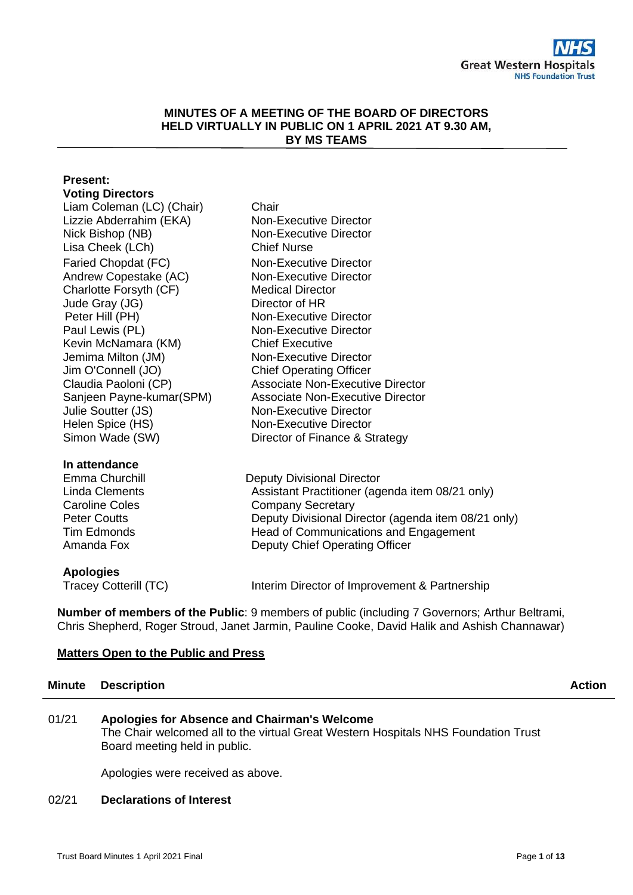#### **MINUTES OF A MEETING OF THE BOARD OF DIRECTORS HELD VIRTUALLY IN PUBLIC ON 1 APRIL 2021 AT 9.30 AM, BY MS TEAMS**

# **Present:**

| <b>Voting Directors</b>   |                                                     |
|---------------------------|-----------------------------------------------------|
| Liam Coleman (LC) (Chair) | Chair                                               |
| Lizzie Abderrahim (EKA)   | Non-Executive Director                              |
| Nick Bishop (NB)          | <b>Non-Executive Director</b>                       |
| Lisa Cheek (LCh)          | <b>Chief Nurse</b>                                  |
| Faried Chopdat (FC)       | Non-Executive Director                              |
| Andrew Copestake (AC)     | Non-Executive Director                              |
| Charlotte Forsyth (CF)    | <b>Medical Director</b>                             |
| Jude Gray (JG)            | Director of HR                                      |
| Peter Hill (PH)           | Non-Executive Director                              |
| Paul Lewis (PL)           | Non-Executive Director                              |
| Kevin McNamara (KM)       | <b>Chief Executive</b>                              |
| Jemima Milton (JM)        | Non-Executive Director                              |
| Jim O'Connell (JO)        | <b>Chief Operating Officer</b>                      |
| Claudia Paoloni (CP)      | <b>Associate Non-Executive Director</b>             |
| Sanjeen Payne-kumar(SPM)  | <b>Associate Non-Executive Director</b>             |
| Julie Soutter (JS)        | Non-Executive Director                              |
| Helen Spice (HS)          | Non-Executive Director                              |
| Simon Wade (SW)           | Director of Finance & Strategy                      |
| In attendance             |                                                     |
| Emma Churchill            | <b>Deputy Divisional Director</b>                   |
| <b>Linda Clements</b>     | Assistant Practitioner (agenda item 08/21 only)     |
| <b>Caroline Coles</b>     | <b>Company Secretary</b>                            |
| <b>Peter Coutts</b>       | Deputy Divisional Director (agenda item 08/21 only) |
| <b>Tim Edmonds</b>        | Head of Communications and Engagement               |
| Amanda Fox                | Deputy Chief Operating Officer                      |

#### **Apologies**

Tracey Cotterill (TC) Interim Director of Improvement & Partnership

**Number of members of the Public**: 9 members of public (including 7 Governors; Arthur Beltrami, Chris Shepherd, Roger Stroud, Janet Jarmin, Pauline Cooke, David Halik and Ashish Channawar)

### **Matters Open to the Public and Press**

## **Minute Description Action Action Action Action Action Action Action**

### 01/21 **Apologies for Absence and Chairman's Welcome**

The Chair welcomed all to the virtual Great Western Hospitals NHS Foundation Trust Board meeting held in public.

Apologies were received as above.

#### 02/21 **Declarations of Interest**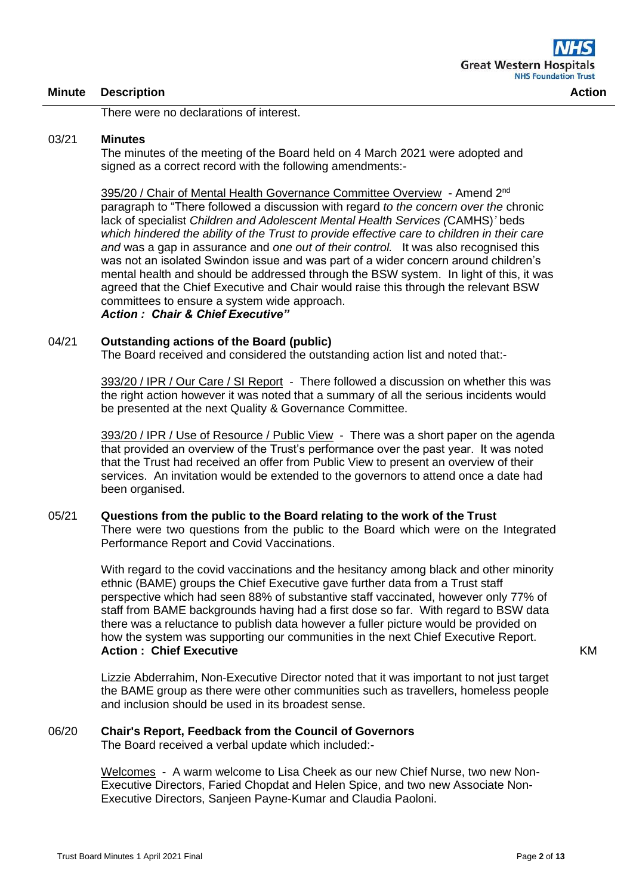There were no declarations of interest.

#### 03/21 **Minutes**

The minutes of the meeting of the Board held on 4 March 2021 were adopted and signed as a correct record with the following amendments:-

395/20 / Chair of Mental Health Governance Committee Overview - Amend 2<sup>nd</sup> paragraph to "There followed a discussion with regard *to the concern over the* chronic lack of specialist *Children and Adolescent Mental Health Services (*CAMHS)*'* beds *which hindered the ability of the Trust to provide effective care to children in their care and* was a gap in assurance and *one out of their control.* It was also recognised this was not an isolated Swindon issue and was part of a wider concern around children's mental health and should be addressed through the BSW system. In light of this, it was agreed that the Chief Executive and Chair would raise this through the relevant BSW committees to ensure a system wide approach. *Action : Chair & Chief Executive"*

#### 04/21 **Outstanding actions of the Board (public)**

The Board received and considered the outstanding action list and noted that:-

393/20 / IPR / Our Care / SI Report - There followed a discussion on whether this was the right action however it was noted that a summary of all the serious incidents would be presented at the next Quality & Governance Committee.

393/20 / IPR / Use of Resource / Public View - There was a short paper on the agenda that provided an overview of the Trust's performance over the past year. It was noted that the Trust had received an offer from Public View to present an overview of their services. An invitation would be extended to the governors to attend once a date had been organised.

#### 05/21 **Questions from the public to the Board relating to the work of the Trust** There were two questions from the public to the Board which were on the Integrated Performance Report and Covid Vaccinations.

With regard to the covid vaccinations and the hesitancy among black and other minority ethnic (BAME) groups the Chief Executive gave further data from a Trust staff perspective which had seen 88% of substantive staff vaccinated, however only 77% of staff from BAME backgrounds having had a first dose so far. With regard to BSW data there was a reluctance to publish data however a fuller picture would be provided on how the system was supporting our communities in the next Chief Executive Report. **Action : Chief Executive**

Lizzie Abderrahim, Non-Executive Director noted that it was important to not just target the BAME group as there were other communities such as travellers, homeless people and inclusion should be used in its broadest sense.

### 06/20 **Chair's Report, Feedback from the Council of Governors**

The Board received a verbal update which included:-

Welcomes - A warm welcome to Lisa Cheek as our new Chief Nurse, two new Non-Executive Directors, Faried Chopdat and Helen Spice, and two new Associate Non-Executive Directors, Sanjeen Payne-Kumar and Claudia Paoloni.

KM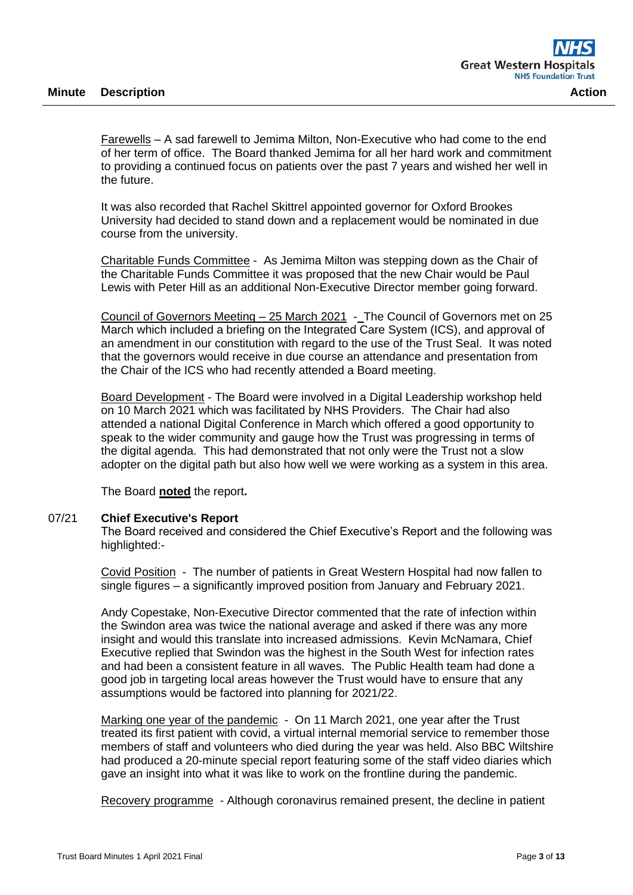Farewells – A sad farewell to Jemima Milton, Non-Executive who had come to the end of her term of office. The Board thanked Jemima for all her hard work and commitment to providing a continued focus on patients over the past 7 years and wished her well in the future.

It was also recorded that Rachel Skittrel appointed governor for Oxford Brookes University had decided to stand down and a replacement would be nominated in due course from the university.

Charitable Funds Committee - As Jemima Milton was stepping down as the Chair of the Charitable Funds Committee it was proposed that the new Chair would be Paul Lewis with Peter Hill as an additional Non-Executive Director member going forward.

Council of Governors Meeting – 25 March 2021 - The Council of Governors met on 25 March which included a briefing on the Integrated Care System (ICS), and approval of an amendment in our constitution with regard to the use of the Trust Seal. It was noted that the governors would receive in due course an attendance and presentation from the Chair of the ICS who had recently attended a Board meeting.

Board Development - The Board were involved in a Digital Leadership workshop held on 10 March 2021 which was facilitated by NHS Providers. The Chair had also attended a national Digital Conference in March which offered a good opportunity to speak to the wider community and gauge how the Trust was progressing in terms of the digital agenda. This had demonstrated that not only were the Trust not a slow adopter on the digital path but also how well we were working as a system in this area.

The Board **noted** the report**.**

#### 07/21 **Chief Executive's Report**

The Board received and considered the Chief Executive's Report and the following was highlighted:-

Covid Position - The number of patients in Great Western Hospital had now fallen to single figures – a significantly improved position from January and February 2021.

Andy Copestake, Non-Executive Director commented that the rate of infection within the Swindon area was twice the national average and asked if there was any more insight and would this translate into increased admissions. Kevin McNamara, Chief Executive replied that Swindon was the highest in the South West for infection rates and had been a consistent feature in all waves. The Public Health team had done a good job in targeting local areas however the Trust would have to ensure that any assumptions would be factored into planning for 2021/22.

Marking one year of the pandemic - On 11 March 2021, one year after the Trust treated its first patient with covid, a virtual internal memorial service to remember those members of staff and volunteers who died during the year was held. Also BBC Wiltshire had produced a 20-minute special report featuring some of the staff video diaries which gave an insight into what it was like to work on the frontline during the pandemic.

Recovery programme - Although coronavirus remained present, the decline in patient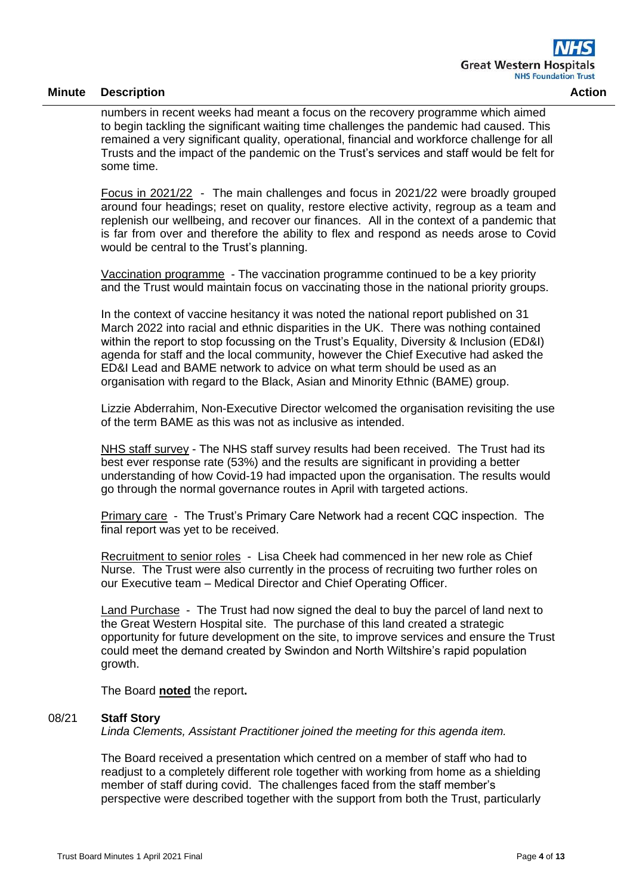numbers in recent weeks had meant a focus on the recovery programme which aimed to begin tackling the significant waiting time challenges the pandemic had caused. This remained a very significant quality, operational, financial and workforce challenge for all Trusts and the impact of the pandemic on the Trust's services and staff would be felt for some time.

Focus in 2021/22 - The main challenges and focus in 2021/22 were broadly grouped around four headings; reset on quality, restore elective activity, regroup as a team and replenish our wellbeing, and recover our finances. All in the context of a pandemic that is far from over and therefore the ability to flex and respond as needs arose to Covid would be central to the Trust's planning.

Vaccination programme - The vaccination programme continued to be a key priority and the Trust would maintain focus on vaccinating those in the national priority groups.

In the context of vaccine hesitancy it was noted the national report published on 31 March 2022 into racial and ethnic disparities in the UK. There was nothing contained within the report to stop focussing on the Trust's Equality, Diversity & Inclusion (ED&I) agenda for staff and the local community, however the Chief Executive had asked the ED&I Lead and BAME network to advice on what term should be used as an organisation with regard to the Black, Asian and Minority Ethnic (BAME) group.

Lizzie Abderrahim, Non-Executive Director welcomed the organisation revisiting the use of the term BAME as this was not as inclusive as intended.

NHS staff survey - The NHS staff survey results had been received. The Trust had its best ever response rate (53%) and the results are significant in providing a better understanding of how Covid-19 had impacted upon the organisation. The results would go through the normal governance routes in April with targeted actions.

Primary care - The Trust's Primary Care Network had a recent CQC inspection. The final report was yet to be received.

Recruitment to senior roles - Lisa Cheek had commenced in her new role as Chief Nurse. The Trust were also currently in the process of recruiting two further roles on our Executive team – Medical Director and Chief Operating Officer.

Land Purchase - The Trust had now signed the deal to buy the parcel of land next to the Great Western Hospital site. The purchase of this land created a strategic opportunity for future development on the site, to improve services and ensure the Trust could meet the demand created by Swindon and North Wiltshire's rapid population growth.

The Board **noted** the report**.**

#### 08/21 **Staff Story**

*Linda Clements, Assistant Practitioner joined the meeting for this agenda item.*

The Board received a presentation which centred on a member of staff who had to readjust to a completely different role together with working from home as a shielding member of staff during covid. The challenges faced from the staff member's perspective were described together with the support from both the Trust, particularly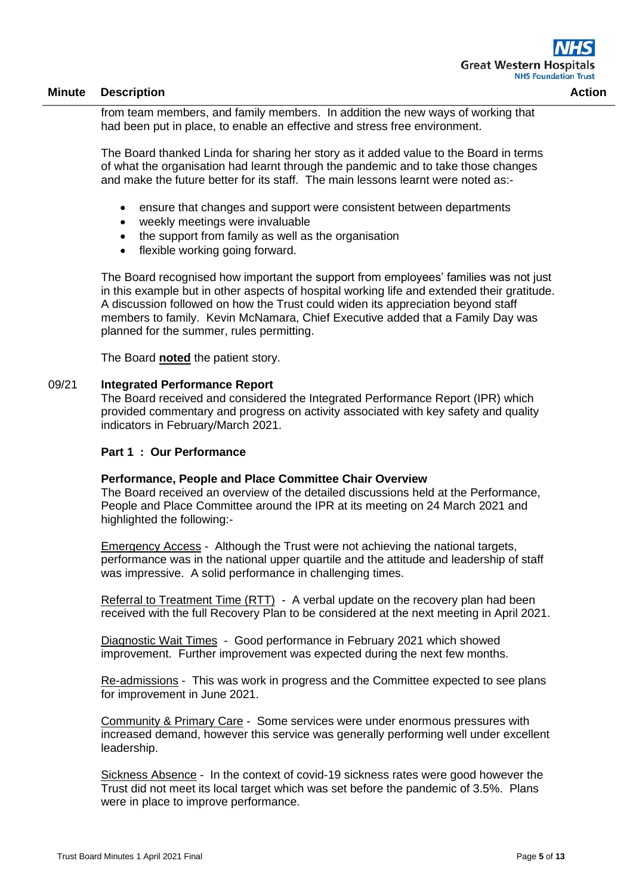from team members, and family members. In addition the new ways of working that had been put in place, to enable an effective and stress free environment.

The Board thanked Linda for sharing her story as it added value to the Board in terms of what the organisation had learnt through the pandemic and to take those changes and make the future better for its staff. The main lessons learnt were noted as:-

- ensure that changes and support were consistent between departments
- weekly meetings were invaluable
- the support from family as well as the organisation
- flexible working going forward.

The Board recognised how important the support from employees' families was not just in this example but in other aspects of hospital working life and extended their gratitude. A discussion followed on how the Trust could widen its appreciation beyond staff members to family. Kevin McNamara, Chief Executive added that a Family Day was planned for the summer, rules permitting.

The Board **noted** the patient story.

#### 09/21 **Integrated Performance Report**

The Board received and considered the Integrated Performance Report (IPR) which provided commentary and progress on activity associated with key safety and quality indicators in February/March 2021.

#### **Part 1 : Our Performance**

#### **Performance, People and Place Committee Chair Overview**

The Board received an overview of the detailed discussions held at the Performance, People and Place Committee around the IPR at its meeting on 24 March 2021 and highlighted the following:-

Emergency Access - Although the Trust were not achieving the national targets, performance was in the national upper quartile and the attitude and leadership of staff was impressive. A solid performance in challenging times.

Referral to Treatment Time (RTT) - A verbal update on the recovery plan had been received with the full Recovery Plan to be considered at the next meeting in April 2021.

Diagnostic Wait Times - Good performance in February 2021 which showed improvement. Further improvement was expected during the next few months.

Re-admissions - This was work in progress and the Committee expected to see plans for improvement in June 2021.

Community & Primary Care - Some services were under enormous pressures with increased demand, however this service was generally performing well under excellent leadership.

Sickness Absence - In the context of covid-19 sickness rates were good however the Trust did not meet its local target which was set before the pandemic of 3.5%. Plans were in place to improve performance.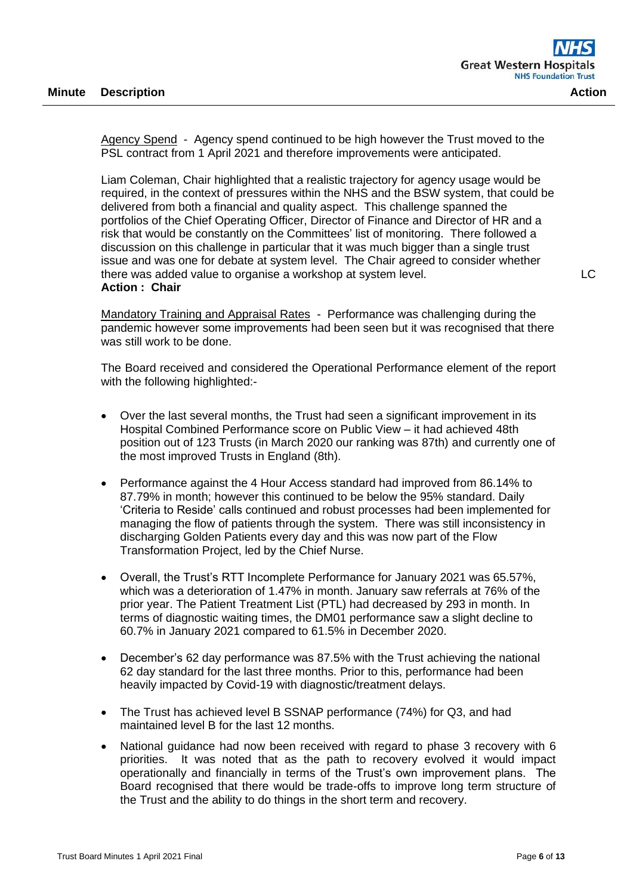Agency Spend - Agency spend continued to be high however the Trust moved to the PSL contract from 1 April 2021 and therefore improvements were anticipated.

Liam Coleman, Chair highlighted that a realistic trajectory for agency usage would be required, in the context of pressures within the NHS and the BSW system, that could be delivered from both a financial and quality aspect. This challenge spanned the portfolios of the Chief Operating Officer, Director of Finance and Director of HR and a risk that would be constantly on the Committees' list of monitoring. There followed a discussion on this challenge in particular that it was much bigger than a single trust issue and was one for debate at system level. The Chair agreed to consider whether there was added value to organise a workshop at system level. **Action : Chair**

Mandatory Training and Appraisal Rates - Performance was challenging during the pandemic however some improvements had been seen but it was recognised that there was still work to be done.

The Board received and considered the Operational Performance element of the report with the following highlighted:-

- Over the last several months, the Trust had seen a significant improvement in its Hospital Combined Performance score on Public View – it had achieved 48th position out of 123 Trusts (in March 2020 our ranking was 87th) and currently one of the most improved Trusts in England (8th).
- Performance against the 4 Hour Access standard had improved from 86.14% to 87.79% in month; however this continued to be below the 95% standard. Daily 'Criteria to Reside' calls continued and robust processes had been implemented for managing the flow of patients through the system. There was still inconsistency in discharging Golden Patients every day and this was now part of the Flow Transformation Project, led by the Chief Nurse.
- Overall, the Trust's RTT Incomplete Performance for January 2021 was 65.57%, which was a deterioration of 1.47% in month. January saw referrals at 76% of the prior year. The Patient Treatment List (PTL) had decreased by 293 in month. In terms of diagnostic waiting times, the DM01 performance saw a slight decline to 60.7% in January 2021 compared to 61.5% in December 2020.
- December's 62 day performance was 87.5% with the Trust achieving the national 62 day standard for the last three months. Prior to this, performance had been heavily impacted by Covid-19 with diagnostic/treatment delays.
- The Trust has achieved level B SSNAP performance (74%) for Q3, and had maintained level B for the last 12 months.
- National guidance had now been received with regard to phase 3 recovery with 6 priorities. It was noted that as the path to recovery evolved it would impact operationally and financially in terms of the Trust's own improvement plans. The Board recognised that there would be trade-offs to improve long term structure of the Trust and the ability to do things in the short term and recovery.

LC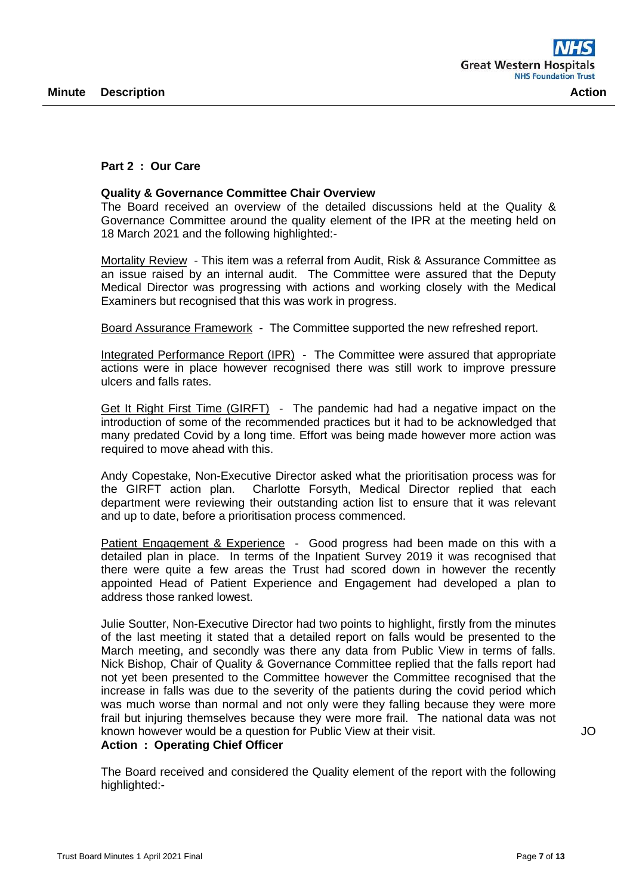#### **Part 2 : Our Care**

#### **Quality & Governance Committee Chair Overview**

The Board received an overview of the detailed discussions held at the Quality & Governance Committee around the quality element of the IPR at the meeting held on 18 March 2021 and the following highlighted:-

Mortality Review - This item was a referral from Audit, Risk & Assurance Committee as an issue raised by an internal audit. The Committee were assured that the Deputy Medical Director was progressing with actions and working closely with the Medical Examiners but recognised that this was work in progress.

Board Assurance Framework - The Committee supported the new refreshed report.

Integrated Performance Report (IPR) - The Committee were assured that appropriate actions were in place however recognised there was still work to improve pressure ulcers and falls rates.

Get It Right First Time (GIRFT) - The pandemic had had a negative impact on the introduction of some of the recommended practices but it had to be acknowledged that many predated Covid by a long time. Effort was being made however more action was required to move ahead with this.

Andy Copestake, Non-Executive Director asked what the prioritisation process was for the GIRFT action plan. Charlotte Forsyth, Medical Director replied that each department were reviewing their outstanding action list to ensure that it was relevant and up to date, before a prioritisation process commenced.

Patient Engagement & Experience - Good progress had been made on this with a detailed plan in place. In terms of the Inpatient Survey 2019 it was recognised that there were quite a few areas the Trust had scored down in however the recently appointed Head of Patient Experience and Engagement had developed a plan to address those ranked lowest.

Julie Soutter, Non-Executive Director had two points to highlight, firstly from the minutes of the last meeting it stated that a detailed report on falls would be presented to the March meeting, and secondly was there any data from Public View in terms of falls. Nick Bishop, Chair of Quality & Governance Committee replied that the falls report had not yet been presented to the Committee however the Committee recognised that the increase in falls was due to the severity of the patients during the covid period which was much worse than normal and not only were they falling because they were more frail but injuring themselves because they were more frail. The national data was not known however would be a question for Public View at their visit. **Action : Operating Chief Officer**

The Board received and considered the Quality element of the report with the following highlighted:-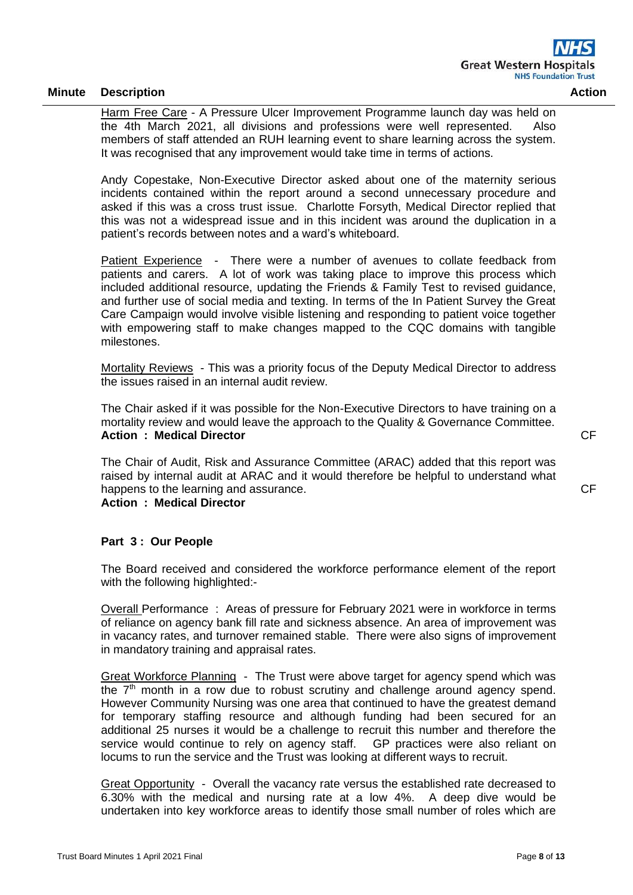Harm Free Care - A Pressure Ulcer Improvement Programme launch day was held on the 4th March 2021, all divisions and professions were well represented. Also members of staff attended an RUH learning event to share learning across the system. It was recognised that any improvement would take time in terms of actions.

Andy Copestake, Non-Executive Director asked about one of the maternity serious incidents contained within the report around a second unnecessary procedure and asked if this was a cross trust issue. Charlotte Forsyth, Medical Director replied that this was not a widespread issue and in this incident was around the duplication in a patient's records between notes and a ward's whiteboard.

Patient Experience - There were a number of avenues to collate feedback from patients and carers. A lot of work was taking place to improve this process which included additional resource, updating the Friends & Family Test to revised guidance, and further use of social media and texting. In terms of the In Patient Survey the Great Care Campaign would involve visible listening and responding to patient voice together with empowering staff to make changes mapped to the CQC domains with tangible milestones.

Mortality Reviews - This was a priority focus of the Deputy Medical Director to address the issues raised in an internal audit review.

The Chair asked if it was possible for the Non-Executive Directors to have training on a mortality review and would leave the approach to the Quality & Governance Committee. **Action : Medical Director** 

The Chair of Audit, Risk and Assurance Committee (ARAC) added that this report was raised by internal audit at ARAC and it would therefore be helpful to understand what happens to the learning and assurance.

**Action : Medical Director** 

### **Part 3 : Our People**

The Board received and considered the workforce performance element of the report with the following highlighted:-

Overall Performance : Areas of pressure for February 2021 were in workforce in terms of reliance on agency bank fill rate and sickness absence. An area of improvement was in vacancy rates, and turnover remained stable. There were also signs of improvement in mandatory training and appraisal rates.

Great Workforce Planning - The Trust were above target for agency spend which was the  $7<sup>th</sup>$  month in a row due to robust scrutiny and challenge around agency spend. However Community Nursing was one area that continued to have the greatest demand for temporary staffing resource and although funding had been secured for an additional 25 nurses it would be a challenge to recruit this number and therefore the service would continue to rely on agency staff. GP practices were also reliant on locums to run the service and the Trust was looking at different ways to recruit.

Great Opportunity - Overall the vacancy rate versus the established rate decreased to 6.30% with the medical and nursing rate at a low 4%. A deep dive would be undertaken into key workforce areas to identify those small number of roles which are CF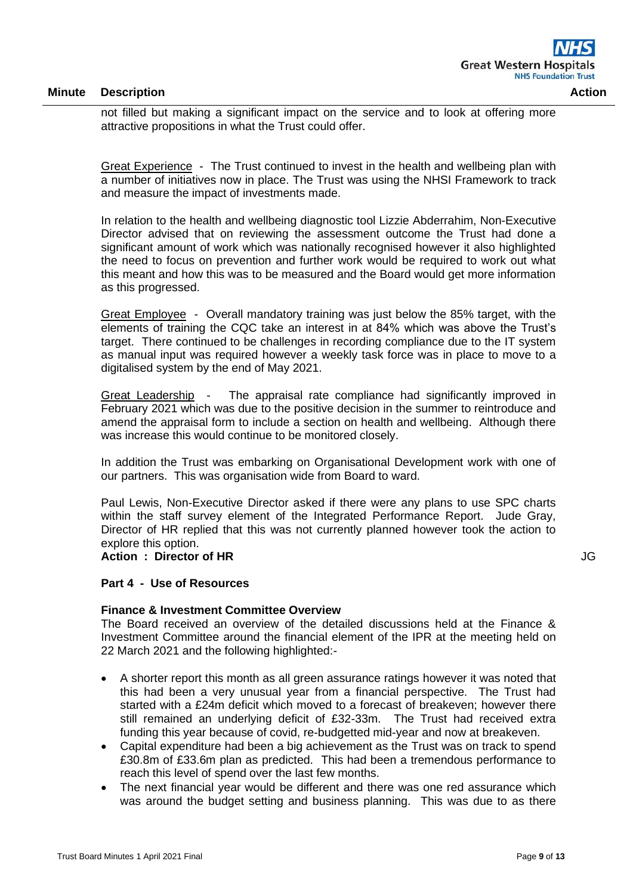not filled but making a significant impact on the service and to look at offering more attractive propositions in what the Trust could offer.

Great Experience - The Trust continued to invest in the health and wellbeing plan with a number of initiatives now in place. The Trust was using the NHSI Framework to track and measure the impact of investments made.

In relation to the health and wellbeing diagnostic tool Lizzie Abderrahim, Non-Executive Director advised that on reviewing the assessment outcome the Trust had done a significant amount of work which was nationally recognised however it also highlighted the need to focus on prevention and further work would be required to work out what this meant and how this was to be measured and the Board would get more information as this progressed.

Great Employee - Overall mandatory training was just below the 85% target, with the elements of training the CQC take an interest in at 84% which was above the Trust's target. There continued to be challenges in recording compliance due to the IT system as manual input was required however a weekly task force was in place to move to a digitalised system by the end of May 2021.

Great Leadership - The appraisal rate compliance had significantly improved in February 2021 which was due to the positive decision in the summer to reintroduce and amend the appraisal form to include a section on health and wellbeing. Although there was increase this would continue to be monitored closely.

In addition the Trust was embarking on Organisational Development work with one of our partners. This was organisation wide from Board to ward.

Paul Lewis, Non-Executive Director asked if there were any plans to use SPC charts within the staff survey element of the Integrated Performance Report. Jude Gray, Director of HR replied that this was not currently planned however took the action to explore this option.

**Action : Director of HR**

**Part 4 - Use of Resources**

#### **Finance & Investment Committee Overview**

The Board received an overview of the detailed discussions held at the Finance & Investment Committee around the financial element of the IPR at the meeting held on 22 March 2021 and the following highlighted:-

- A shorter report this month as all green assurance ratings however it was noted that this had been a very unusual year from a financial perspective. The Trust had started with a £24m deficit which moved to a forecast of breakeven; however there still remained an underlying deficit of £32-33m. The Trust had received extra funding this year because of covid, re-budgetted mid-year and now at breakeven.
- Capital expenditure had been a big achievement as the Trust was on track to spend £30.8m of £33.6m plan as predicted. This had been a tremendous performance to reach this level of spend over the last few months.
- The next financial year would be different and there was one red assurance which was around the budget setting and business planning. This was due to as there

JG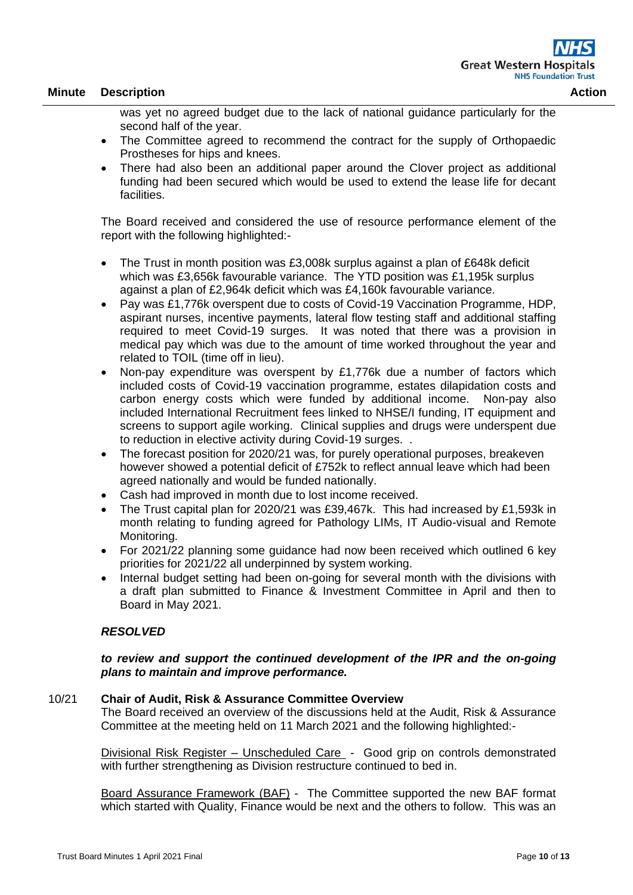was yet no agreed budget due to the lack of national guidance particularly for the second half of the year.

- The Committee agreed to recommend the contract for the supply of Orthopaedic Prostheses for hips and knees.
- There had also been an additional paper around the Clover project as additional funding had been secured which would be used to extend the lease life for decant facilities.

The Board received and considered the use of resource performance element of the report with the following highlighted:-

- The Trust in month position was £3,008k surplus against a plan of £648k deficit which was £3,656k favourable variance. The YTD position was £1,195k surplus against a plan of £2,964k deficit which was £4,160k favourable variance.
- Pay was £1,776k overspent due to costs of Covid-19 Vaccination Programme, HDP, aspirant nurses, incentive payments, lateral flow testing staff and additional staffing required to meet Covid-19 surges. It was noted that there was a provision in medical pay which was due to the amount of time worked throughout the year and related to TOIL (time off in lieu).
- Non-pay expenditure was overspent by £1,776k due a number of factors which included costs of Covid-19 vaccination programme, estates dilapidation costs and carbon energy costs which were funded by additional income. Non-pay also included International Recruitment fees linked to NHSE/I funding, IT equipment and screens to support agile working. Clinical supplies and drugs were underspent due to reduction in elective activity during Covid-19 surges. .
- The forecast position for 2020/21 was, for purely operational purposes, breakeven however showed a potential deficit of £752k to reflect annual leave which had been agreed nationally and would be funded nationally.
- Cash had improved in month due to lost income received.
- The Trust capital plan for 2020/21 was £39,467k. This had increased by £1,593k in month relating to funding agreed for Pathology LIMs, IT Audio-visual and Remote Monitoring.
- For 2021/22 planning some guidance had now been received which outlined 6 key priorities for 2021/22 all underpinned by system working.
- Internal budget setting had been on-going for several month with the divisions with a draft plan submitted to Finance & Investment Committee in April and then to Board in May 2021.

### *RESOLVED*

### *to review and support the continued development of the IPR and the on-going plans to maintain and improve performance.*

#### 10/21 **Chair of Audit, Risk & Assurance Committee Overview**

The Board received an overview of the discussions held at the Audit, Risk & Assurance Committee at the meeting held on 11 March 2021 and the following highlighted:-

Divisional Risk Register – Unscheduled Care - Good grip on controls demonstrated with further strengthening as Division restructure continued to bed in.

Board Assurance Framework (BAF) - The Committee supported the new BAF format which started with Quality, Finance would be next and the others to follow. This was an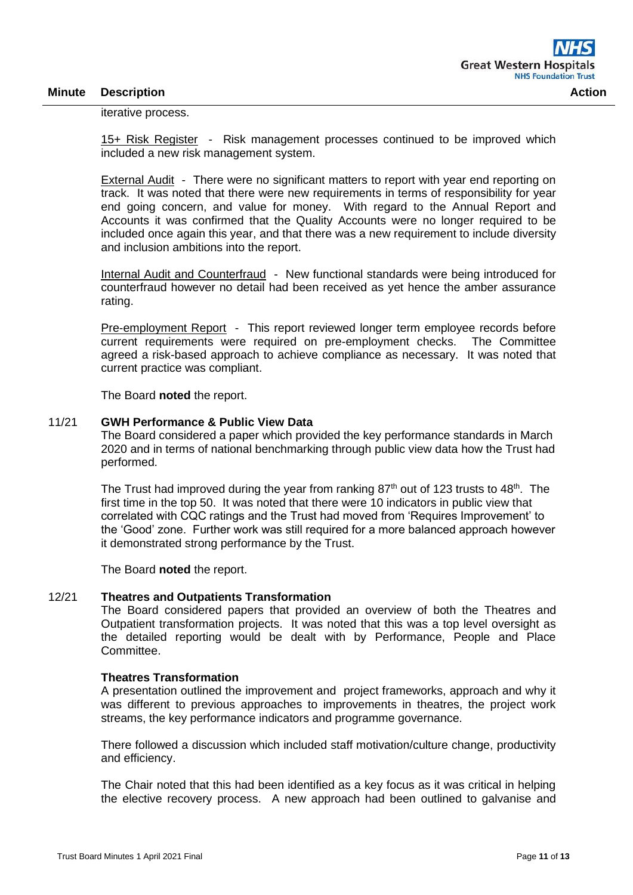iterative process.

15+ Risk Register - Risk management processes continued to be improved which included a new risk management system.

External Audit - There were no significant matters to report with year end reporting on track. It was noted that there were new requirements in terms of responsibility for year end going concern, and value for money. With regard to the Annual Report and Accounts it was confirmed that the Quality Accounts were no longer required to be included once again this year, and that there was a new requirement to include diversity and inclusion ambitions into the report.

Internal Audit and Counterfraud - New functional standards were being introduced for counterfraud however no detail had been received as yet hence the amber assurance rating.

Pre-employment Report - This report reviewed longer term employee records before current requirements were required on pre-employment checks. The Committee agreed a risk-based approach to achieve compliance as necessary. It was noted that current practice was compliant.

The Board **noted** the report.

### 11/21 **GWH Performance & Public View Data**

The Board considered a paper which provided the key performance standards in March 2020 and in terms of national benchmarking through public view data how the Trust had performed.

The Trust had improved during the year from ranking  $87<sup>th</sup>$  out of 123 trusts to 48<sup>th</sup>. The first time in the top 50. It was noted that there were 10 indicators in public view that correlated with CQC ratings and the Trust had moved from 'Requires Improvement' to the 'Good' zone. Further work was still required for a more balanced approach however it demonstrated strong performance by the Trust.

The Board **noted** the report.

#### 12/21 **Theatres and Outpatients Transformation**

The Board considered papers that provided an overview of both the Theatres and Outpatient transformation projects. It was noted that this was a top level oversight as the detailed reporting would be dealt with by Performance, People and Place Committee.

#### **Theatres Transformation**

A presentation outlined the improvement and project frameworks, approach and why it was different to previous approaches to improvements in theatres, the project work streams, the key performance indicators and programme governance.

There followed a discussion which included staff motivation/culture change, productivity and efficiency.

The Chair noted that this had been identified as a key focus as it was critical in helping the elective recovery process. A new approach had been outlined to galvanise and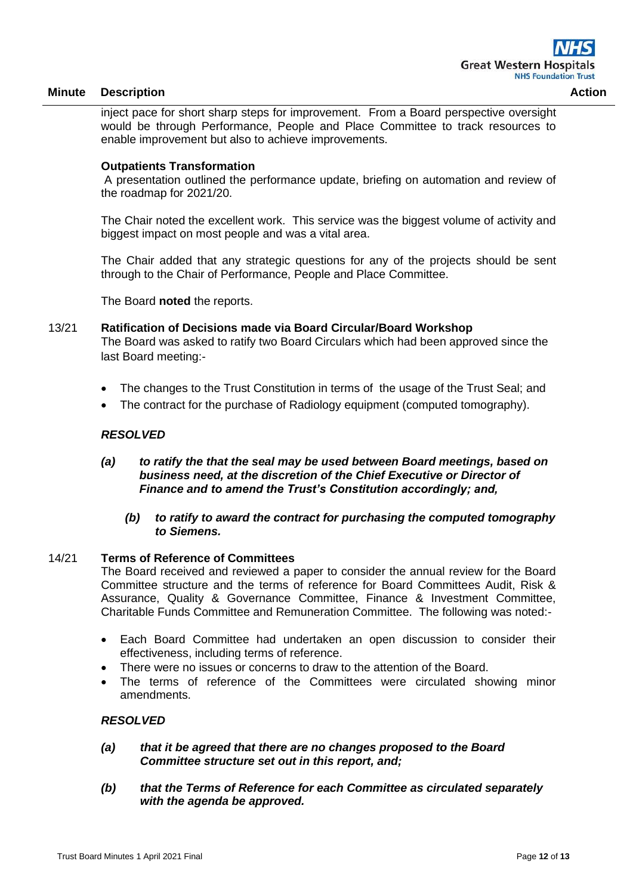inject pace for short sharp steps for improvement. From a Board perspective oversight would be through Performance, People and Place Committee to track resources to enable improvement but also to achieve improvements.

#### **Outpatients Transformation**

A presentation outlined the performance update, briefing on automation and review of the roadmap for 2021/20.

The Chair noted the excellent work. This service was the biggest volume of activity and biggest impact on most people and was a vital area.

The Chair added that any strategic questions for any of the projects should be sent through to the Chair of Performance, People and Place Committee.

The Board **noted** the reports.

## 13/21 **Ratification of Decisions made via Board Circular/Board Workshop** The Board was asked to ratify two Board Circulars which had been approved since the last Board meeting:-

- The changes to the Trust Constitution in terms of the usage of the Trust Seal; and
- The contract for the purchase of Radiology equipment (computed tomography).

### *RESOLVED*

- *(a) to ratify the that the seal may be used between Board meetings, based on business need, at the discretion of the Chief Executive or Director of Finance and to amend the Trust's Constitution accordingly; and,*
	- *(b) to ratify to award the contract for purchasing the computed tomography to Siemens.*

#### 14/21 **Terms of Reference of Committees**

The Board received and reviewed a paper to consider the annual review for the Board Committee structure and the terms of reference for Board Committees Audit, Risk & Assurance, Quality & Governance Committee, Finance & Investment Committee, Charitable Funds Committee and Remuneration Committee. The following was noted:-

- Each Board Committee had undertaken an open discussion to consider their effectiveness, including terms of reference.
- There were no issues or concerns to draw to the attention of the Board.
- The terms of reference of the Committees were circulated showing minor amendments.

### *RESOLVED*

- *(a) that it be agreed that there are no changes proposed to the Board Committee structure set out in this report, and;*
- *(b) that the Terms of Reference for each Committee as circulated separately with the agenda be approved.*